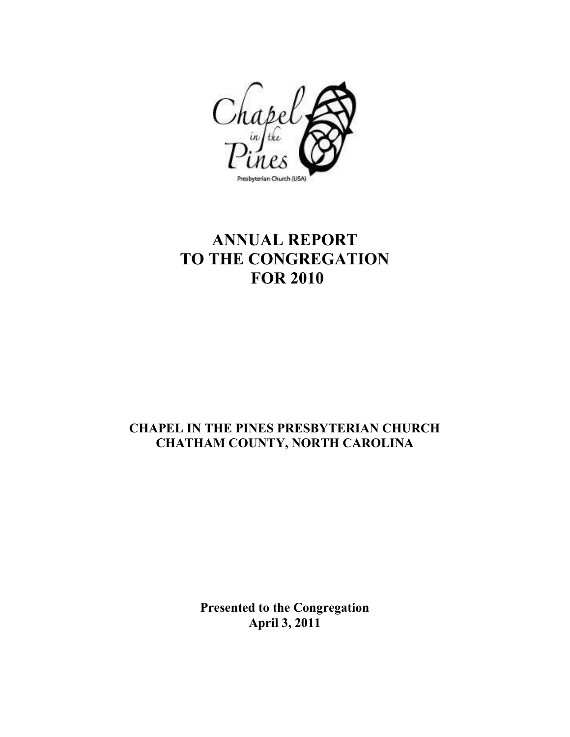

## **ANNUAL REPORT TO THE CONGREGATION FOR 2010**

## **CHAPEL IN THE PINES PRESBYTERIAN CHURCH CHATHAM COUNTY, NORTH CAROLINA**

**Presented to the Congregation April 3, 2011**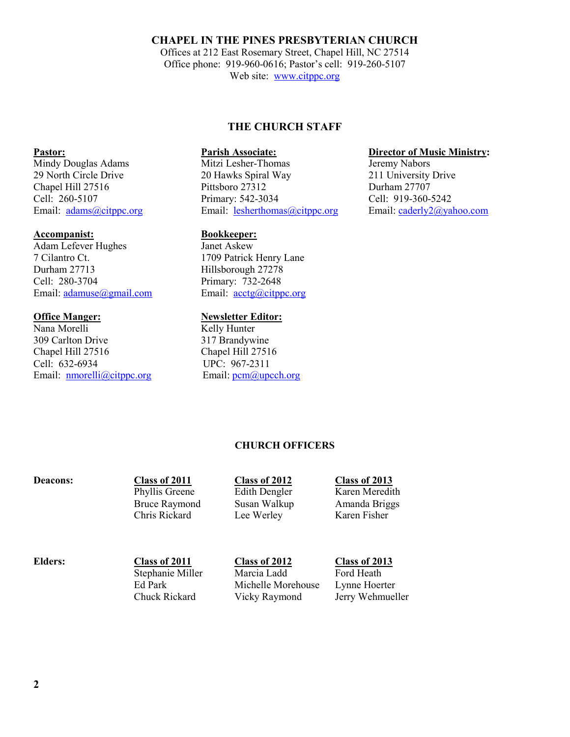#### **CHAPEL IN THE PINES PRESBYTERIAN CHURCH**

Offices at 212 East Rosemary Street, Chapel Hill, NC 27514 Office phone: 919-960-0616; Pastor's cell: 919-260-5107 Web site: www.citppc.org

### **THE CHURCH STAFF**

29 North Circle Drive 20 Hawks Spiral Way 211 University Drive Chapel Hill 27516 Pittsboro 27312 Durham 27707 Cell: 260-5107 Primary: 542-3034 Cell: 919-360-5242<br>
Email: adams@citppc.org Email: esherthomas@citppc.org Email: aderly2@yahoo.com Email: **adams@citppc.org** Email: **lesherthomas@citppc.org** 

**Accompanist:**<br> **Adam Lefever Hughes**<br> **Bookkeeper:**<br> **Bookkeeper:** 7 Cilantro Ct. 1709 Patrick Henry Lane Durham 27713 Hillsborough 27278 Cell: 280-3704 Primary: 732-2648 Email: adamuse@gmail.com Email: acctg@citppc.org

# **Office Manger:**<br>
Nana Morelli<br>
Nana Morelli<br> **Newsletter Editor:**<br> **Newsletter Editor:**

Kelly Hunter 309 Carlton Drive 317 Brandywine Chapel Hill 27516 Chapel Hill 27516 Cell: 632-6934 UPC: 967-2311 Email: nmorelli@citppc.org Email: pcm@upcch.org

**Pastor: Parish Associate: Parish Associate: Director of Music Ministry: Director of Music Ministry: Director of Music Ministry: Director of Music Ministry: Director of Music Ministry: Director Director**

Mindy Douglas Adams

Adam Lefever Hughes

Phyllis Greene Edith Dengler Karen Meredith Bruce Raymond Susan Walkup Amanda Briggs Chris Rickard Lee Werley Karen Fisher

### **Deacons: Class of 2011 Class of 2012 Class of 2013**

**CHURCH OFFICERS** 

**Elders: Class of 2011 Class of 2012 Class of 2013**

Stephanie Miller Marcia Ladd Ford Heath Ed Park Michelle Morehouse Lynne Hoerter Chuck Rickard Vicky Raymond Jerry Wehmueller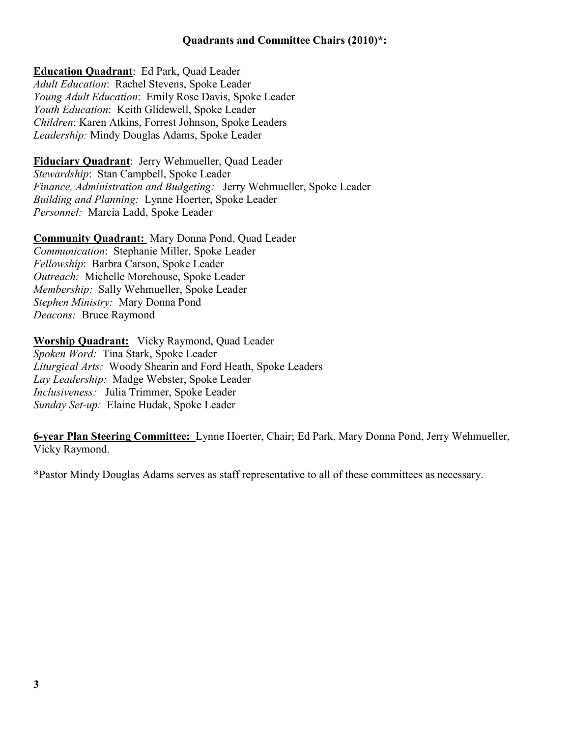**Education Quadrant**: Ed Park, Quad Leader *Adult Education*: Rachel Stevens, Spoke Leader *Young Adult Education*: Emily Rose Davis, Spoke Leader *Youth Education*: Keith Glidewell, Spoke Leader *Children*: Karen Atkins, Forrest Johnson, Spoke Leaders *Leadership:* Mindy Douglas Adams, Spoke Leader

**Fiduciary Quadrant**: Jerry Wehmueller, Quad Leader *Stewardship*: Stan Campbell, Spoke Leader *Finance, Administration and Budgeting:* Jerry Wehmueller, Spoke Leader *Building and Planning:* Lynne Hoerter, Spoke Leader *Personnel:* Marcia Ladd, Spoke Leader

**Community Quadrant:** Mary Donna Pond, Quad Leader *Communication*: Stephanie Miller, Spoke Leader *Fellowship*: Barbra Carson, Spoke Leader *Outreach:* Michelle Morehouse, Spoke Leader *Membership:* Sally Wehmueller, Spoke Leader *Stephen Ministry:* Mary Donna Pond *Deacons:* Bruce Raymond

**Worship Quadrant:** Vicky Raymond, Quad Leader *Spoken Word:* Tina Stark, Spoke Leader *Liturgical Arts:* Woody Shearin and Ford Heath, Spoke Leaders *Lay Leadership:* Madge Webster, Spoke Leader *Inclusiveness:* Julia Trimmer, Spoke Leader *Sunday Set-up:* Elaine Hudak, Spoke Leader

**6-year Plan Steering Committee:** Lynne Hoerter, Chair; Ed Park, Mary Donna Pond, Jerry Wehmueller, Vicky Raymond.

\*Pastor Mindy Douglas Adams serves as staff representative to all of these committees as necessary.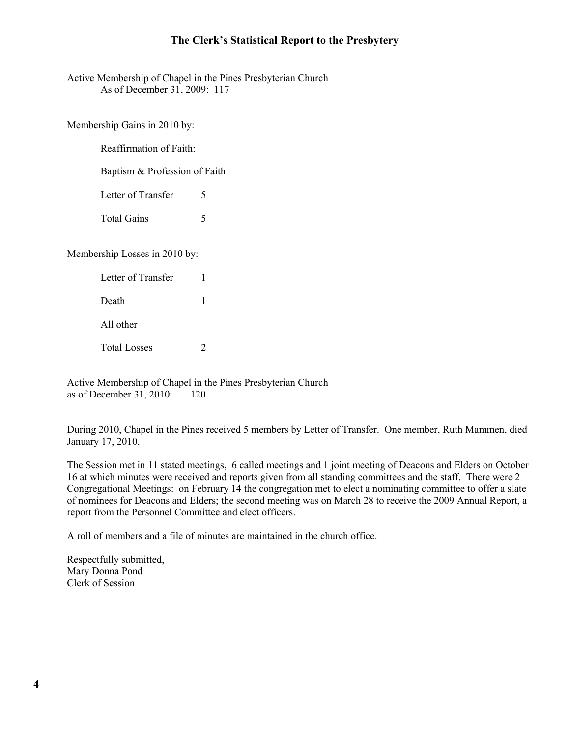### **The Clerk's Statistical Report to the Presbytery**

Active Membership of Chapel in the Pines Presbyterian Church As of December 31, 2009: 117

Membership Gains in 2010 by:

Reaffirmation of Faith:

Baptism & Profession of Faith

Letter of Transfer 5

Total Gains 5

Membership Losses in 2010 by:

| Letter of Transfer  |  |
|---------------------|--|
| Death               |  |
| All other           |  |
| <b>Total Losses</b> |  |

 Active Membership of Chapel in the Pines Presbyterian Church as of December 31, 2010: 120

During 2010, Chapel in the Pines received 5 members by Letter of Transfer. One member, Ruth Mammen, died January 17, 2010.

The Session met in 11 stated meetings, 6 called meetings and 1 joint meeting of Deacons and Elders on October 16 at which minutes were received and reports given from all standing committees and the staff. There were 2 Congregational Meetings: on February 14 the congregation met to elect a nominating committee to offer a slate of nominees for Deacons and Elders; the second meeting was on March 28 to receive the 2009 Annual Report, a report from the Personnel Committee and elect officers.

A roll of members and a file of minutes are maintained in the church office.

 Respectfully submitted, Mary Donna Pond Clerk of Session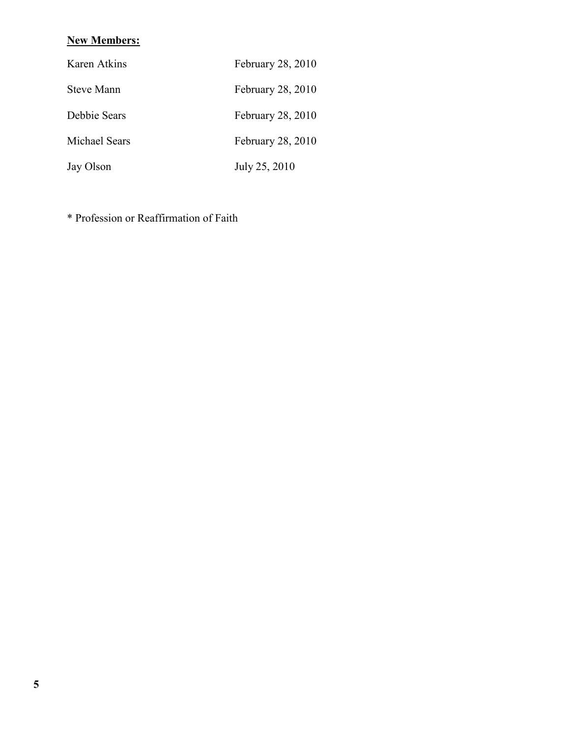### **New Members:**

| Karen Atkins  | February 28, 2010 |
|---------------|-------------------|
| Steve Mann    | February 28, 2010 |
| Debbie Sears  | February 28, 2010 |
| Michael Sears | February 28, 2010 |
| Jay Olson     | July 25, 2010     |

\* Profession or Reaffirmation of Faith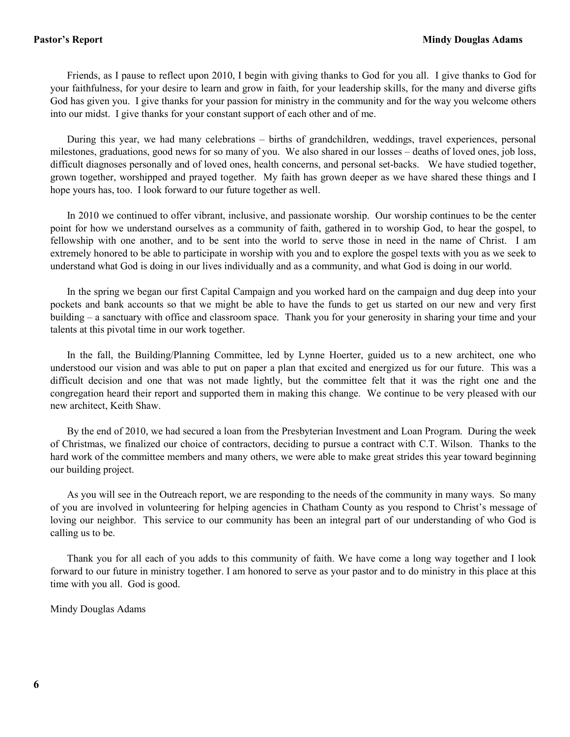Friends, as I pause to reflect upon 2010, I begin with giving thanks to God for you all. I give thanks to God for your faithfulness, for your desire to learn and grow in faith, for your leadership skills, for the many and diverse gifts God has given you. I give thanks for your passion for ministry in the community and for the way you welcome others into our midst. I give thanks for your constant support of each other and of me.

 During this year, we had many celebrations – births of grandchildren, weddings, travel experiences, personal milestones, graduations, good news for so many of you. We also shared in our losses – deaths of loved ones, job loss, difficult diagnoses personally and of loved ones, health concerns, and personal set-backs. We have studied together, grown together, worshipped and prayed together. My faith has grown deeper as we have shared these things and I hope yours has, too. I look forward to our future together as well.

 In 2010 we continued to offer vibrant, inclusive, and passionate worship. Our worship continues to be the center point for how we understand ourselves as a community of faith, gathered in to worship God, to hear the gospel, to fellowship with one another, and to be sent into the world to serve those in need in the name of Christ. I am extremely honored to be able to participate in worship with you and to explore the gospel texts with you as we seek to understand what God is doing in our lives individually and as a community, and what God is doing in our world.

 In the spring we began our first Capital Campaign and you worked hard on the campaign and dug deep into your pockets and bank accounts so that we might be able to have the funds to get us started on our new and very first building – a sanctuary with office and classroom space. Thank you for your generosity in sharing your time and your talents at this pivotal time in our work together.

 In the fall, the Building/Planning Committee, led by Lynne Hoerter, guided us to a new architect, one who understood our vision and was able to put on paper a plan that excited and energized us for our future. This was a difficult decision and one that was not made lightly, but the committee felt that it was the right one and the congregation heard their report and supported them in making this change. We continue to be very pleased with our new architect, Keith Shaw.

 By the end of 2010, we had secured a loan from the Presbyterian Investment and Loan Program. During the week of Christmas, we finalized our choice of contractors, deciding to pursue a contract with C.T. Wilson. Thanks to the hard work of the committee members and many others, we were able to make great strides this year toward beginning our building project.

 As you will see in the Outreach report, we are responding to the needs of the community in many ways. So many of you are involved in volunteering for helping agencies in Chatham County as you respond to Christ's message of loving our neighbor. This service to our community has been an integral part of our understanding of who God is calling us to be.

 Thank you for all each of you adds to this community of faith. We have come a long way together and I look forward to our future in ministry together. I am honored to serve as your pastor and to do ministry in this place at this time with you all. God is good.

Mindy Douglas Adams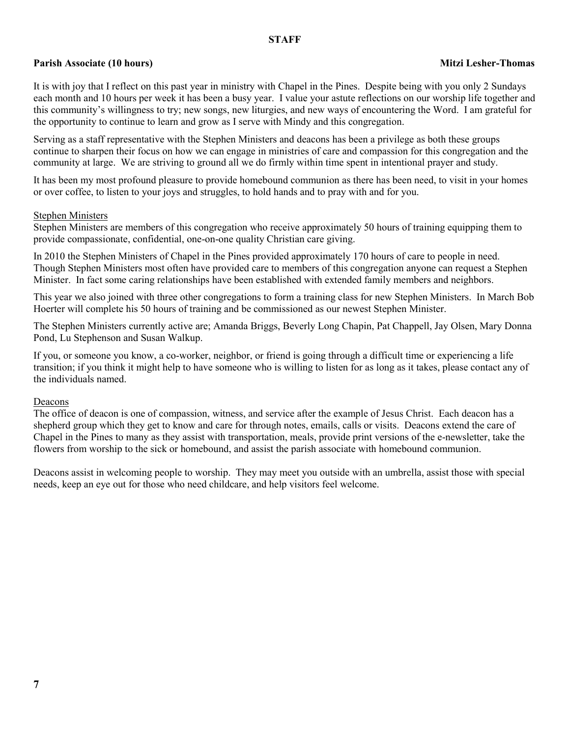#### **STAFF**

### **Parish Associate (10 hours)** Mitzi Lesher-Thomas **Mitzi Lesher-Thomas Mitzi Lesher-Thomas Mitzi Lesher-Thomas**

It is with joy that I reflect on this past year in ministry with Chapel in the Pines. Despite being with you only 2 Sundays each month and 10 hours per week it has been a busy year. I value your astute reflections on our worship life together and this community's willingness to try; new songs, new liturgies, and new ways of encountering the Word. I am grateful for the opportunity to continue to learn and grow as I serve with Mindy and this congregation.

Serving as a staff representative with the Stephen Ministers and deacons has been a privilege as both these groups continue to sharpen their focus on how we can engage in ministries of care and compassion for this congregation and the community at large. We are striving to ground all we do firmly within time spent in intentional prayer and study.

It has been my most profound pleasure to provide homebound communion as there has been need, to visit in your homes or over coffee, to listen to your joys and struggles, to hold hands and to pray with and for you.

#### Stephen Ministers

Stephen Ministers are members of this congregation who receive approximately 50 hours of training equipping them to provide compassionate, confidential, one-on-one quality Christian care giving.

In 2010 the Stephen Ministers of Chapel in the Pines provided approximately 170 hours of care to people in need. Though Stephen Ministers most often have provided care to members of this congregation anyone can request a Stephen Minister. In fact some caring relationships have been established with extended family members and neighbors.

This year we also joined with three other congregations to form a training class for new Stephen Ministers. In March Bob Hoerter will complete his 50 hours of training and be commissioned as our newest Stephen Minister.

The Stephen Ministers currently active are; Amanda Briggs, Beverly Long Chapin, Pat Chappell, Jay Olsen, Mary Donna Pond, Lu Stephenson and Susan Walkup.

If you, or someone you know, a co-worker, neighbor, or friend is going through a difficult time or experiencing a life transition; if you think it might help to have someone who is willing to listen for as long as it takes, please contact any of the individuals named.

#### Deacons

The office of deacon is one of compassion, witness, and service after the example of Jesus Christ. Each deacon has a shepherd group which they get to know and care for through notes, emails, calls or visits. Deacons extend the care of Chapel in the Pines to many as they assist with transportation, meals, provide print versions of the e-newsletter, take the flowers from worship to the sick or homebound, and assist the parish associate with homebound communion.

Deacons assist in welcoming people to worship. They may meet you outside with an umbrella, assist those with special needs, keep an eye out for those who need childcare, and help visitors feel welcome.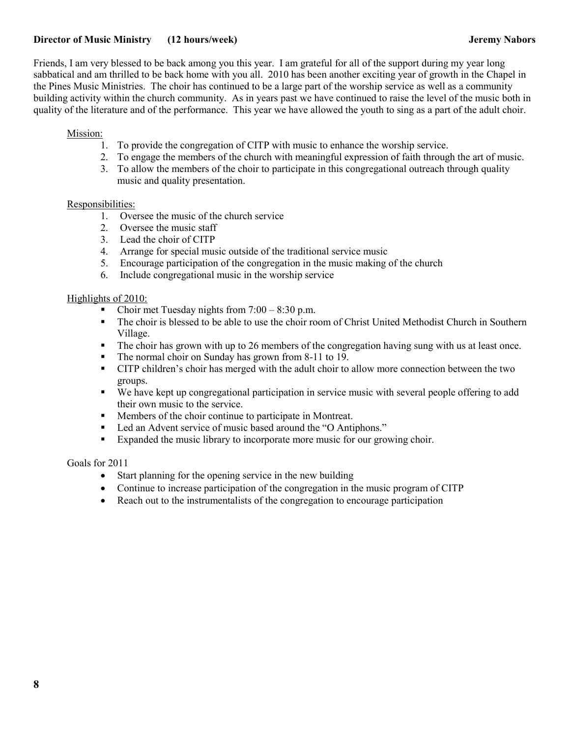### **Director of Music Ministry (12 hours/week) Servers and Servers and Servers and Servers Servers and Servers Abors**

Friends, I am very blessed to be back among you this year. I am grateful for all of the support during my year long sabbatical and am thrilled to be back home with you all. 2010 has been another exciting year of growth in the Chapel in the Pines Music Ministries. The choir has continued to be a large part of the worship service as well as a community building activity within the church community. As in years past we have continued to raise the level of the music both in quality of the literature and of the performance. This year we have allowed the youth to sing as a part of the adult choir.

#### Mission:

- 1. To provide the congregation of CITP with music to enhance the worship service.
- 2. To engage the members of the church with meaningful expression of faith through the art of music.
- 3. To allow the members of the choir to participate in this congregational outreach through quality music and quality presentation.

#### Responsibilities:

- 1. Oversee the music of the church service
- 2. Oversee the music staff
- 3. Lead the choir of CITP
- 4. Arrange for special music outside of the traditional service music
- 5. Encourage participation of the congregation in the music making of the church
- 6. Include congregational music in the worship service

#### Highlights of 2010:

- Choir met Tuesday nights from  $7:00 8:30$  p.m.
- The choir is blessed to be able to use the choir room of Christ United Methodist Church in Southern Village.
- The choir has grown with up to 26 members of the congregation having sung with us at least once.
- The normal choir on Sunday has grown from 8-11 to 19.
- CITP children's choir has merged with the adult choir to allow more connection between the two groups.
- We have kept up congregational participation in service music with several people offering to add their own music to the service.
- Members of the choir continue to participate in Montreat.
- Led an Advent service of music based around the "O Antiphons."
- Expanded the music library to incorporate more music for our growing choir.

#### Goals for 2011

- Start planning for the opening service in the new building
- Continue to increase participation of the congregation in the music program of CITP
- Reach out to the instrumentalists of the congregation to encourage participation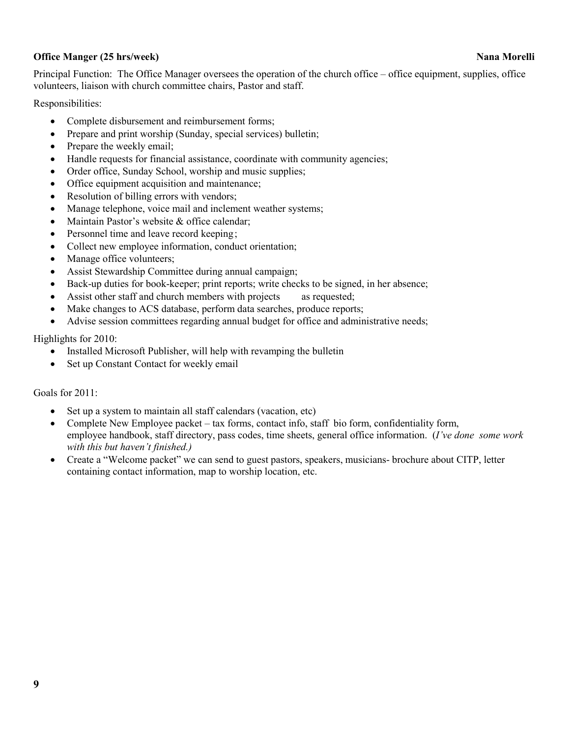### **Office Manger (25 hrs/week)** Nana Morelli **Nana Morelli Nana Morelli Nana Morelli**

Principal Function: The Office Manager oversees the operation of the church office – office equipment, supplies, office volunteers, liaison with church committee chairs, Pastor and staff.

Responsibilities:

- Complete disbursement and reimbursement forms;
- Prepare and print worship (Sunday, special services) bulletin;
- Prepare the weekly email;
- Handle requests for financial assistance, coordinate with community agencies;
- Order office, Sunday School, worship and music supplies;
- Office equipment acquisition and maintenance;
- Resolution of billing errors with vendors;
- Manage telephone, voice mail and inclement weather systems;
- Maintain Pastor's website & office calendar;
- Personnel time and leave record keeping;
- Collect new employee information, conduct orientation;
- Manage office volunteers;
- Assist Stewardship Committee during annual campaign;
- Back-up duties for book-keeper; print reports; write checks to be signed, in her absence;
- Assist other staff and church members with projects as requested;
- Make changes to ACS database, perform data searches, produce reports;
- Advise session committees regarding annual budget for office and administrative needs;

Highlights for 2010:

- Installed Microsoft Publisher, will help with revamping the bulletin
- Set up Constant Contact for weekly email

Goals for 2011:

- Set up a system to maintain all staff calendars (vacation, etc)
- Complete New Employee packet tax forms, contact info, staff bio form, confidentiality form, employee handbook, staff directory, pass codes, time sheets, general office information. (*I've done some work with this but haven't finished.)*
- Create a "Welcome packet" we can send to guest pastors, speakers, musicians- brochure about CITP, letter containing contact information, map to worship location, etc.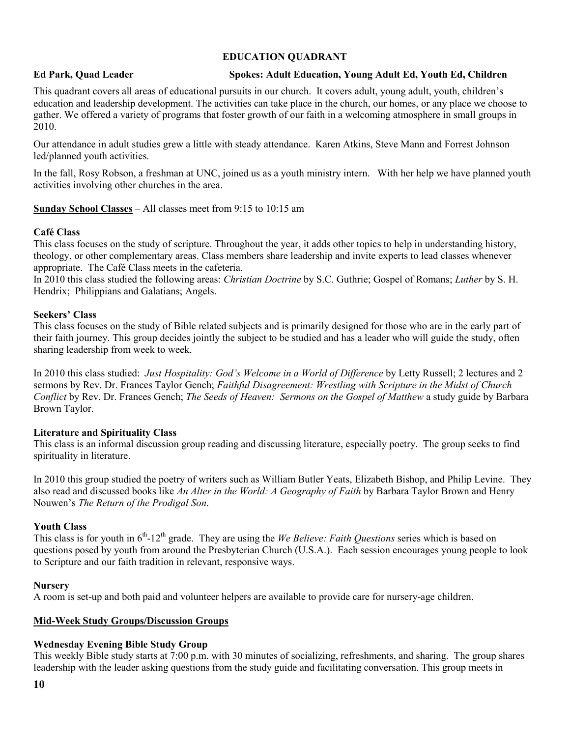### **EDUCATION QUADRANT**

#### **Ed Park, Quad Leader Spokes: Adult Education, Young Adult Ed, Youth Ed, Children**

This quadrant covers all areas of educational pursuits in our church. It covers adult, young adult, youth, children's education and leadership development. The activities can take place in the church, our homes, or any place we choose to gather. We offered a variety of programs that foster growth of our faith in a welcoming atmosphere in small groups in 2010.

Our attendance in adult studies grew a little with steady attendance. Karen Atkins, Steve Mann and Forrest Johnson led/planned youth activities.

In the fall, Rosy Robson, a freshman at UNC, joined us as a youth ministry intern. With her help we have planned youth activities involving other churches in the area.

### **Sunday School Classes** – All classes meet from 9:15 to 10:15 am

#### **Café Class**

This class focuses on the study of scripture. Throughout the year, it adds other topics to help in understanding history, theology, or other complementary areas. Class members share leadership and invite experts to lead classes whenever appropriate. The Café Class meets in the cafeteria.

In 2010 this class studied the following areas: *Christian Doctrine* by S.C. Guthrie; Gospel of Romans; *Luther* by S. H. Hendrix; Philippians and Galatians; Angels.

### **Seekers' Class**

This class focuses on the study of Bible related subjects and is primarily designed for those who are in the early part of their faith journey. This group decides jointly the subject to be studied and has a leader who will guide the study, often sharing leadership from week to week.

In 2010 this class studied: *Just Hospitality: God's Welcome in a World of Difference* by Letty Russell; 2 lectures and 2 sermons by Rev. Dr. Frances Taylor Gench; *Faithful Disagreement: Wrestling with Scripture in the Midst of Church Conflict* by Rev. Dr. Frances Gench; *The Seeds of Heaven: Sermons on the Gospel of Matthew* a study guide by Barbara Brown Taylor.

#### **Literature and Spirituality Class**

This class is an informal discussion group reading and discussing literature, especially poetry. The group seeks to find spirituality in literature.

In 2010 this group studied the poetry of writers such as William Butler Yeats, Elizabeth Bishop, and Philip Levine. They also read and discussed books like *An Alter in the World: A Geography of Faith* by Barbara Taylor Brown and Henry Nouwen's *The Return of the Prodigal Son*.

#### **Youth Class**

This class is for youth in  $6<sup>th</sup>$ -12<sup>th</sup> grade. They are using the *We Believe: Faith Questions* series which is based on questions posed by youth from around the Presbyterian Church (U.S.A.). Each session encourages young people to look to Scripture and our faith tradition in relevant, responsive ways.

#### **Nursery**

A room is set-up and both paid and volunteer helpers are available to provide care for nursery-age children.

#### **Mid-Week Study Groups/Discussion Groups**

#### **Wednesday Evening Bible Study Group**

This weekly Bible study starts at 7:00 p.m. with 30 minutes of socializing, refreshments, and sharing. The group shares leadership with the leader asking questions from the study guide and facilitating conversation. This group meets in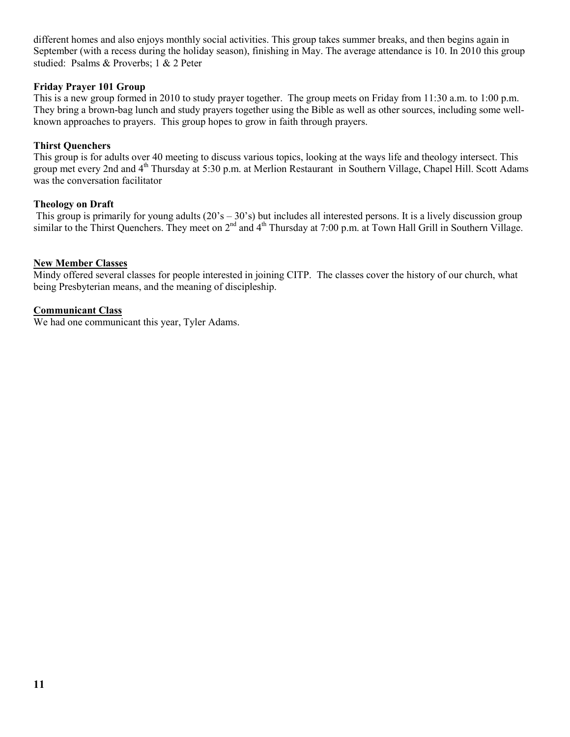different homes and also enjoys monthly social activities. This group takes summer breaks, and then begins again in September (with a recess during the holiday season), finishing in May. The average attendance is 10. In 2010 this group studied: Psalms & Proverbs; 1 & 2 Peter

#### **Friday Prayer 101 Group**

This is a new group formed in 2010 to study prayer together. The group meets on Friday from 11:30 a.m. to 1:00 p.m. They bring a brown-bag lunch and study prayers together using the Bible as well as other sources, including some wellknown approaches to prayers. This group hopes to grow in faith through prayers.

### **Thirst Quenchers**

This group is for adults over 40 meeting to discuss various topics, looking at the ways life and theology intersect. This group met every 2nd and 4<sup>th</sup> Thursday at 5:30 p.m. at Merlion Restaurant in Southern Village, Chapel Hill. Scott Adams was the conversation facilitator

### **Theology on Draft**

This group is primarily for young adults  $(20's - 30's)$  but includes all interested persons. It is a lively discussion group similar to the Thirst Quenchers. They meet on  $2<sup>nd</sup>$  and  $4<sup>th</sup>$  Thursday at 7:00 p.m. at Town Hall Grill in Southern Village.

### **New Member Classes**

Mindy offered several classes for people interested in joining CITP. The classes cover the history of our church, what being Presbyterian means, and the meaning of discipleship.

### **Communicant Class**

We had one communicant this year, Tyler Adams.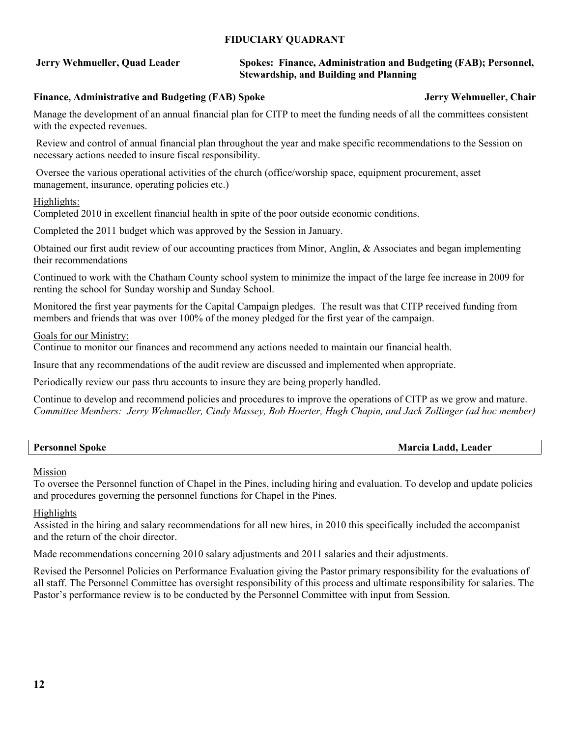### **FIDUCIARY QUADRANT**

### **Jerry Wehmueller, Quad Leader Spokes: Finance, Administration and Budgeting (FAB); Personnel, Stewardship, and Building and Planning**

### Finance, Administrative and Budgeting (FAB) Spoke **Jerry Wehmueller, Chair Jerry Wehmueller**, Chair

Manage the development of an annual financial plan for CITP to meet the funding needs of all the committees consistent with the expected revenues.

 Review and control of annual financial plan throughout the year and make specific recommendations to the Session on necessary actions needed to insure fiscal responsibility.

 Oversee the various operational activities of the church (office/worship space, equipment procurement, asset management, insurance, operating policies etc.)

### Highlights:

Completed 2010 in excellent financial health in spite of the poor outside economic conditions.

Completed the 2011 budget which was approved by the Session in January.

Obtained our first audit review of our accounting practices from Minor, Anglin, & Associates and began implementing their recommendations

Continued to work with the Chatham County school system to minimize the impact of the large fee increase in 2009 for renting the school for Sunday worship and Sunday School.

Monitored the first year payments for the Capital Campaign pledges. The result was that CITP received funding from members and friends that was over 100% of the money pledged for the first year of the campaign.

#### Goals for our Ministry:

Continue to monitor our finances and recommend any actions needed to maintain our financial health.

Insure that any recommendations of the audit review are discussed and implemented when appropriate.

Periodically review our pass thru accounts to insure they are being properly handled.

Continue to develop and recommend policies and procedures to improve the operations of CITP as we grow and mature. *Committee Members: Jerry Wehmueller, Cindy Massey, Bob Hoerter, Hugh Chapin, and Jack Zollinger (ad hoc member)* 

| <b>Personnel Spoke</b> | Marcia Ladd, Leader |
|------------------------|---------------------|
|                        |                     |

#### Mission

To oversee the Personnel function of Chapel in the Pines, including hiring and evaluation. To develop and update policies and procedures governing the personnel functions for Chapel in the Pines.

### Highlights

Assisted in the hiring and salary recommendations for all new hires, in 2010 this specifically included the accompanist and the return of the choir director.

Made recommendations concerning 2010 salary adjustments and 2011 salaries and their adjustments.

Revised the Personnel Policies on Performance Evaluation giving the Pastor primary responsibility for the evaluations of all staff. The Personnel Committee has oversight responsibility of this process and ultimate responsibility for salaries. The Pastor's performance review is to be conducted by the Personnel Committee with input from Session.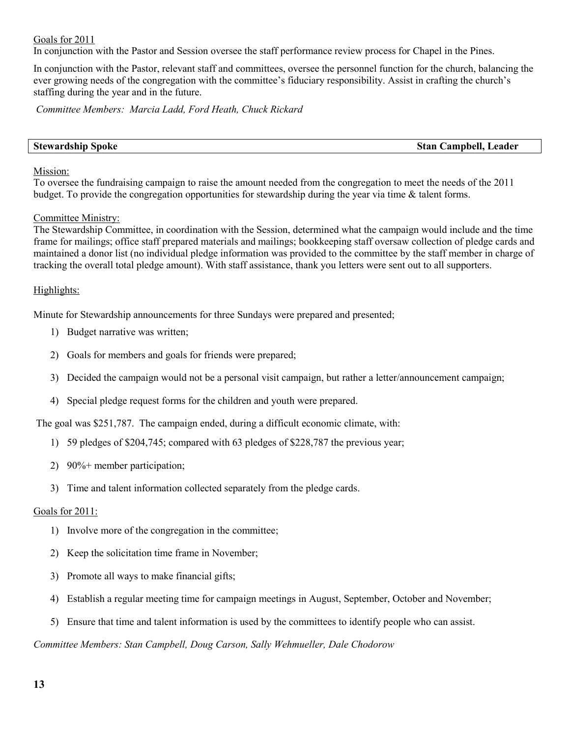Goals for 2011

In conjunction with the Pastor and Session oversee the staff performance review process for Chapel in the Pines.

In conjunction with the Pastor, relevant staff and committees, oversee the personnel function for the church, balancing the ever growing needs of the congregation with the committee's fiduciary responsibility. Assist in crafting the church's staffing during the year and in the future.

*Committee Members: Marcia Ladd, Ford Heath, Chuck Rickard* 

**Stewardship Spoke Stan Campbell, Leader** 

#### Mission:

To oversee the fundraising campaign to raise the amount needed from the congregation to meet the needs of the 2011 budget. To provide the congregation opportunities for stewardship during the year via time & talent forms.

#### Committee Ministry:

The Stewardship Committee, in coordination with the Session, determined what the campaign would include and the time frame for mailings; office staff prepared materials and mailings; bookkeeping staff oversaw collection of pledge cards and maintained a donor list (no individual pledge information was provided to the committee by the staff member in charge of tracking the overall total pledge amount). With staff assistance, thank you letters were sent out to all supporters.

#### Highlights:

Minute for Stewardship announcements for three Sundays were prepared and presented;

- 1) Budget narrative was written;
- 2) Goals for members and goals for friends were prepared;
- 3) Decided the campaign would not be a personal visit campaign, but rather a letter/announcement campaign;
- 4) Special pledge request forms for the children and youth were prepared.

The goal was \$251,787. The campaign ended, during a difficult economic climate, with:

- 1) 59 pledges of \$204,745; compared with 63 pledges of \$228,787 the previous year;
- 2) 90%+ member participation;
- 3) Time and talent information collected separately from the pledge cards.

#### Goals for 2011:

- 1) Involve more of the congregation in the committee;
- 2) Keep the solicitation time frame in November;
- 3) Promote all ways to make financial gifts;
- 4) Establish a regular meeting time for campaign meetings in August, September, October and November;
- 5) Ensure that time and talent information is used by the committees to identify people who can assist.

*Committee Members: Stan Campbell, Doug Carson, Sally Wehmueller, Dale Chodorow*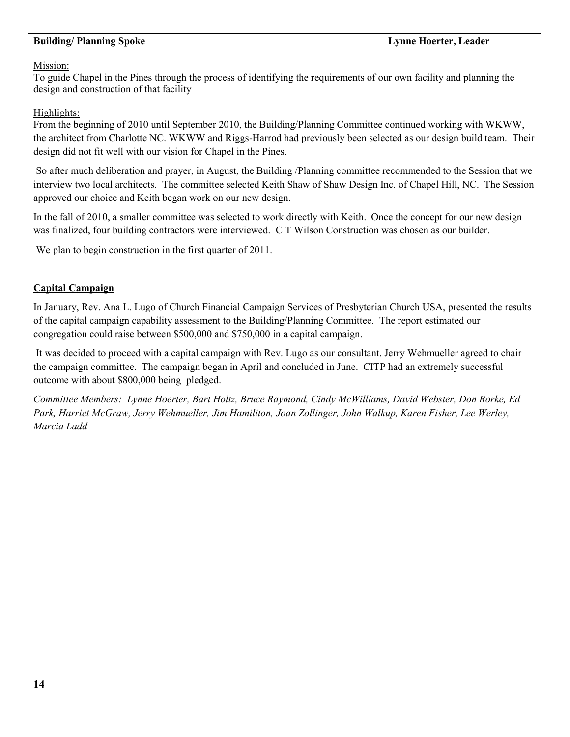### **Building/ Planning Spoke Lynne Hoerter, Leader**

#### Mission:

To guide Chapel in the Pines through the process of identifying the requirements of our own facility and planning the design and construction of that facility

### Highlights:

From the beginning of 2010 until September 2010, the Building/Planning Committee continued working with WKWW, the architect from Charlotte NC. WKWW and Riggs-Harrod had previously been selected as our design build team. Their design did not fit well with our vision for Chapel in the Pines.

 So after much deliberation and prayer, in August, the Building /Planning committee recommended to the Session that we interview two local architects. The committee selected Keith Shaw of Shaw Design Inc. of Chapel Hill, NC. The Session approved our choice and Keith began work on our new design.

In the fall of 2010, a smaller committee was selected to work directly with Keith. Once the concept for our new design was finalized, four building contractors were interviewed. C T Wilson Construction was chosen as our builder.

We plan to begin construction in the first quarter of 2011.

### **Capital Campaign**

In January, Rev. Ana L. Lugo of Church Financial Campaign Services of Presbyterian Church USA, presented the results of the capital campaign capability assessment to the Building/Planning Committee. The report estimated our congregation could raise between \$500,000 and \$750,000 in a capital campaign.

 It was decided to proceed with a capital campaign with Rev. Lugo as our consultant. Jerry Wehmueller agreed to chair the campaign committee. The campaign began in April and concluded in June. CITP had an extremely successful outcome with about \$800,000 being pledged.

*Committee Members: Lynne Hoerter, Bart Holtz, Bruce Raymond, Cindy McWilliams, David Webster, Don Rorke, Ed Park, Harriet McGraw, Jerry Wehmueller, Jim Hamiliton, Joan Zollinger, John Walkup, Karen Fisher, Lee Werley, Marcia Ladd*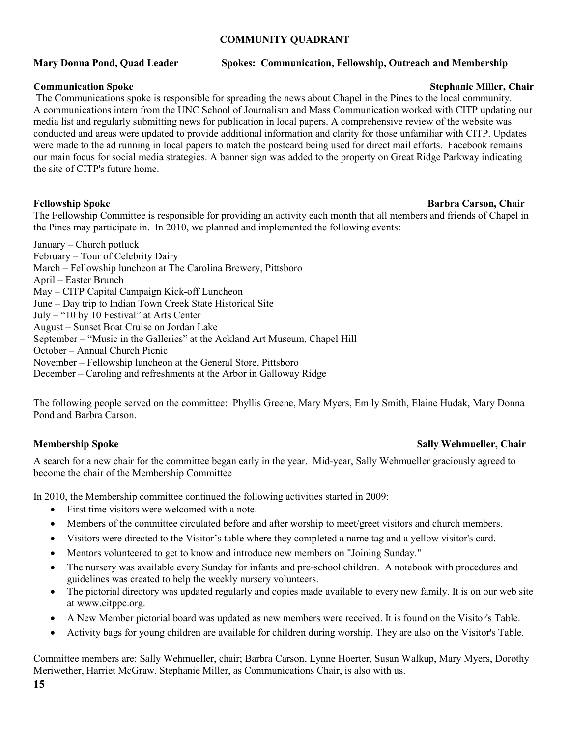### **COMMUNITY QUADRANT**

### **Mary Donna Pond, Quad Leader Spokes: Communication, Fellowship, Outreach and Membership**

#### **Communication Spoke Stephanie Miller, Chair Stephanie Miller, Chair Stephanie Miller, Chair**

 The Communications spoke is responsible for spreading the news about Chapel in the Pines to the local community. A communications intern from the UNC School of Journalism and Mass Communication worked with CITP updating our media list and regularly submitting news for publication in local papers. A comprehensive review of the website was conducted and areas were updated to provide additional information and clarity for those unfamiliar with CITP. Updates were made to the ad running in local papers to match the postcard being used for direct mail efforts. Facebook remains our main focus for social media strategies. A banner sign was added to the property on Great Ridge Parkway indicating the site of CITP's future home.

#### **Fellowship Spoke Barbra Carson, Chair and Spoke Barbra Carson, Chair and Spoke Barbra Carson, Chair and Spoke Barbra Carson, Chair and Spoke Barbra Carson, Chair and Spoke Barbra Carson, Chair and Spoke Barbra Carson, Cha**

The Fellowship Committee is responsible for providing an activity each month that all members and friends of Chapel in the Pines may participate in. In 2010, we planned and implemented the following events:

January – Church potluck February – Tour of Celebrity Dairy March – Fellowship luncheon at The Carolina Brewery, Pittsboro April – Easter Brunch May – CITP Capital Campaign Kick-off Luncheon June – Day trip to Indian Town Creek State Historical Site July – "10 by 10 Festival" at Arts Center August – Sunset Boat Cruise on Jordan Lake September – "Music in the Galleries" at the Ackland Art Museum, Chapel Hill October – Annual Church Picnic November – Fellowship luncheon at the General Store, Pittsboro December – Caroling and refreshments at the Arbor in Galloway Ridge

The following people served on the committee: Phyllis Greene, Mary Myers, Emily Smith, Elaine Hudak, Mary Donna Pond and Barbra Carson.

### **Membership Spoke Sally Wehmueller, Chair**

A search for a new chair for the committee began early in the year. Mid-year, Sally Wehmueller graciously agreed to become the chair of the Membership Committee

In 2010, the Membership committee continued the following activities started in 2009:

- First time visitors were welcomed with a note.
- Members of the committee circulated before and after worship to meet/greet visitors and church members.
- Visitors were directed to the Visitor's table where they completed a name tag and a yellow visitor's card.
- Mentors volunteered to get to know and introduce new members on "Joining Sunday."
- The nursery was available every Sunday for infants and pre-school children. A notebook with procedures and guidelines was created to help the weekly nursery volunteers.
- The pictorial directory was updated regularly and copies made available to every new family. It is on our web site at www.citppc.org.
- A New Member pictorial board was updated as new members were received. It is found on the Visitor's Table.
- Activity bags for young children are available for children during worship. They are also on the Visitor's Table.

Committee members are: Sally Wehmueller, chair; Barbra Carson, Lynne Hoerter, Susan Walkup, Mary Myers, Dorothy Meriwether, Harriet McGraw. Stephanie Miller, as Communications Chair, is also with us.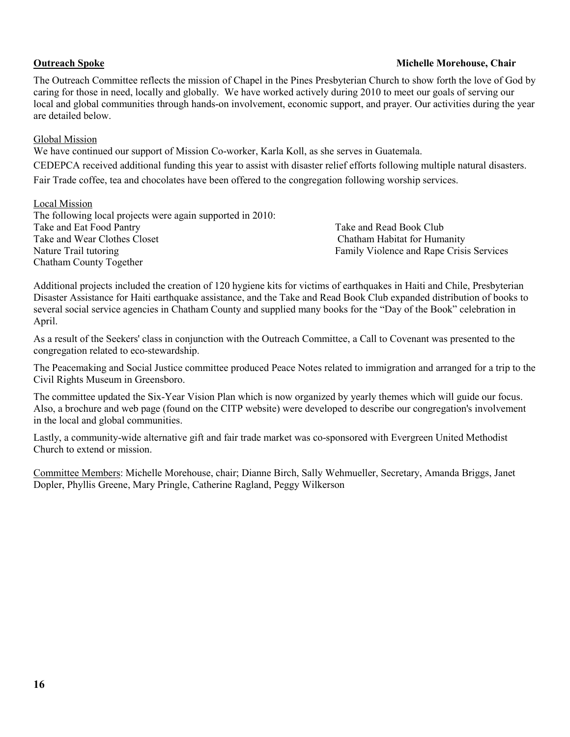#### **Outreach Spoke Michelle Morehouse, Chair and Spoke Michelle Morehouse, Chair and Spoke Michelle Morehouse, Chair**

The Outreach Committee reflects the mission of Chapel in the Pines Presbyterian Church to show forth the love of God by caring for those in need, locally and globally. We have worked actively during 2010 to meet our goals of serving our local and global communities through hands-on involvement, economic support, and prayer. Our activities during the year are detailed below.

### Global Mission

We have continued our support of Mission Co-worker, Karla Koll, as she serves in Guatemala.

CEDEPCA received additional funding this year to assist with disaster relief efforts following multiple natural disasters.

Fair Trade coffee, tea and chocolates have been offered to the congregation following worship services.

#### Local Mission

The following local projects were again supported in 2010: Take and Eat Food Pantry Take and Read Book Club Take and Wear Clothes Closet Chatham Habitat for Humanity Nature Trail tutoring Family Violence and Rape Crisis Services Chatham County Together

Additional projects included the creation of 120 hygiene kits for victims of earthquakes in Haiti and Chile, Presbyterian Disaster Assistance for Haiti earthquake assistance, and the Take and Read Book Club expanded distribution of books to several social service agencies in Chatham County and supplied many books for the "Day of the Book" celebration in April.

As a result of the Seekers' class in conjunction with the Outreach Committee, a Call to Covenant was presented to the congregation related to eco-stewardship.

The Peacemaking and Social Justice committee produced Peace Notes related to immigration and arranged for a trip to the Civil Rights Museum in Greensboro.

The committee updated the Six-Year Vision Plan which is now organized by yearly themes which will guide our focus. Also, a brochure and web page (found on the CITP website) were developed to describe our congregation's involvement in the local and global communities.

Lastly, a community-wide alternative gift and fair trade market was co-sponsored with Evergreen United Methodist Church to extend or mission.

Committee Members: Michelle Morehouse, chair; Dianne Birch, Sally Wehmueller, Secretary, Amanda Briggs, Janet Dopler, Phyllis Greene, Mary Pringle, Catherine Ragland, Peggy Wilkerson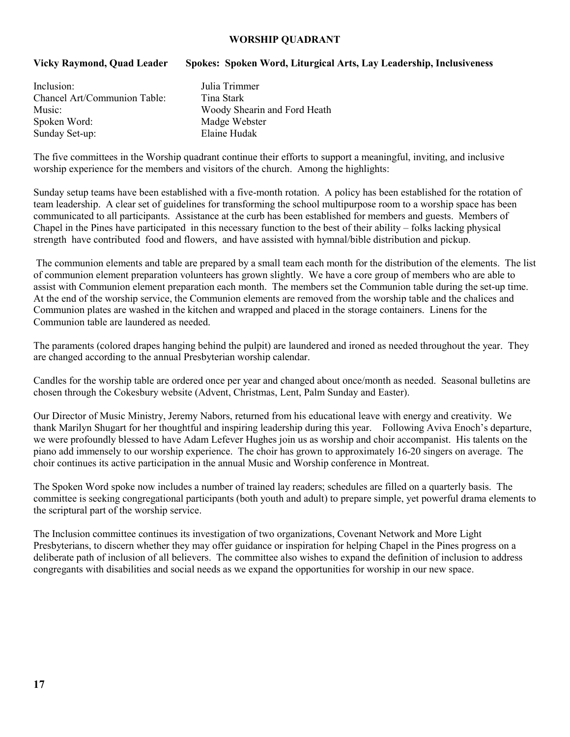#### **WORSHIP QUADRANT**

### **Vicky Raymond, Quad Leader Spokes: Spoken Word, Liturgical Arts, Lay Leadership, Inclusiveness**

| Inclusion:                   |  |
|------------------------------|--|
| Chancel Art/Communion Table: |  |
| Music:                       |  |
| Spoken Word:                 |  |
| Sunday Set-up:               |  |

Julia Trimmer Tina Stark Woody Shearin and Ford Heath Madge Webster Elaine Hudak

The five committees in the Worship quadrant continue their efforts to support a meaningful, inviting, and inclusive worship experience for the members and visitors of the church. Among the highlights:

Sunday setup teams have been established with a five-month rotation. A policy has been established for the rotation of team leadership. A clear set of guidelines for transforming the school multipurpose room to a worship space has been communicated to all participants. Assistance at the curb has been established for members and guests. Members of Chapel in the Pines have participated in this necessary function to the best of their ability – folks lacking physical strength have contributed food and flowers, and have assisted with hymnal/bible distribution and pickup.

 The communion elements and table are prepared by a small team each month for the distribution of the elements. The list of communion element preparation volunteers has grown slightly. We have a core group of members who are able to assist with Communion element preparation each month. The members set the Communion table during the set-up time. At the end of the worship service, the Communion elements are removed from the worship table and the chalices and Communion plates are washed in the kitchen and wrapped and placed in the storage containers. Linens for the Communion table are laundered as needed.

The paraments (colored drapes hanging behind the pulpit) are laundered and ironed as needed throughout the year. They are changed according to the annual Presbyterian worship calendar.

Candles for the worship table are ordered once per year and changed about once/month as needed. Seasonal bulletins are chosen through the Cokesbury website (Advent, Christmas, Lent, Palm Sunday and Easter).

Our Director of Music Ministry, Jeremy Nabors, returned from his educational leave with energy and creativity. We thank Marilyn Shugart for her thoughtful and inspiring leadership during this year. Following Aviva Enoch's departure, we were profoundly blessed to have Adam Lefever Hughes join us as worship and choir accompanist. His talents on the piano add immensely to our worship experience. The choir has grown to approximately 16-20 singers on average. The choir continues its active participation in the annual Music and Worship conference in Montreat.

The Spoken Word spoke now includes a number of trained lay readers; schedules are filled on a quarterly basis. The committee is seeking congregational participants (both youth and adult) to prepare simple, yet powerful drama elements to the scriptural part of the worship service.

The Inclusion committee continues its investigation of two organizations, Covenant Network and More Light Presbyterians, to discern whether they may offer guidance or inspiration for helping Chapel in the Pines progress on a deliberate path of inclusion of all believers. The committee also wishes to expand the definition of inclusion to address congregants with disabilities and social needs as we expand the opportunities for worship in our new space.